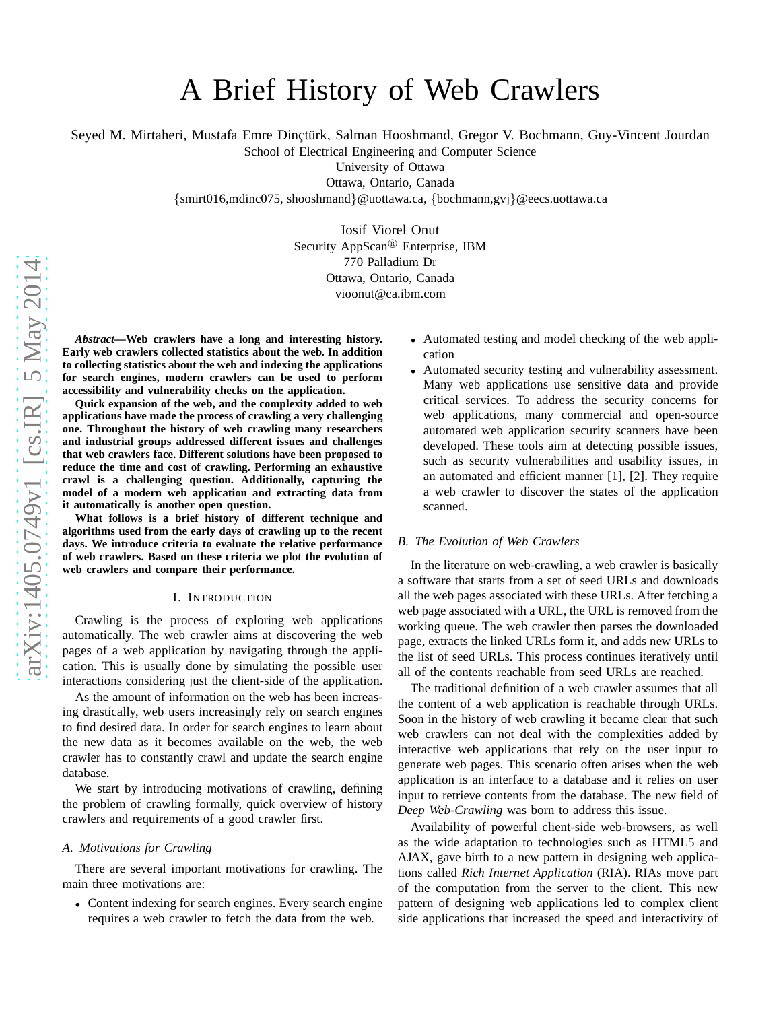# A Brief History of Web Crawlers

Seyed M. Mirtaheri, Mustafa Emre Dinctürk, Salman Hooshmand, Gregor V. Bochmann, Guy-Vincent Jourdan

School of Electrical Engineering and Computer Science

University of Ottawa

Ottawa, Ontario, Canada

{smirt016,mdinc075, shooshmand }@uottawa.ca, {bochmann,gvj }@eecs.uottawa.ca

Iosif Viorel Onut Security AppScan<sup>®</sup> Enterprise, IBM 770 Palladium Dr Ottawa, Ontario, Canada vioonut@ca.ibm.com

*Abstract***—Web crawlers have a long and interesting history. Early web crawlers collected statistics about the web. In addition to collecting statistics about the web and indexing the applications for search engines, modern crawlers can be used to perform accessibility and vulnerability checks on the application .**

**Quick expansion of the web, and the complexity added to web applications have made the process of crawling a very challenging one. Throughout the history of web crawling many researcher s and industrial groups addressed different issues and challenges that web crawlers face. Different solutions have been proposed to reduce the time and cost of crawling. Performing an exhaustive crawl is a challenging question. Additionally, capturing the model of a modern web application and extracting data from it automatically is another open question.**

**What follows is a brief history of different technique and algorithms used from the early days of crawling up to the recent days. We introduce criteria to evaluate the relative performance of web crawlers. Based on these criteria we plot the evolution of web crawlers and compare their performance.**

#### I. INTRODUCTION

Crawling is the process of exploring web applications automatically. The web crawler aims at discovering the web pages of a web application by navigating through the application. This is usually done by simulating the possible user interactions considering just the client-side of the application.

As the amount of information on the web has been increasing drastically, web users increasingly rely on search engines to find desired data. In order for search engines to learn abou t the new data as it becomes available on the web, the web crawler has to constantly crawl and update the search engine database.

We start by introducing motivations of crawling, defining the problem of crawling formally, quick overview of history crawlers and requirements of a good crawler first.

# *A. Motivations for Crawling*

There are several important motivations for crawling. The main three motivations are:

• Content indexing for search engines. Every search engine requires a web crawler to fetch the data from the web.

- Automated testing and model checking of the web application
- Automated security testing and vulnerability assessment. Many web applications use sensitive data and provide critical services. To address the security concerns for web applications, many commercial and open-source automated web application security scanners have been developed. These tools aim at detecting possible issues, such as security vulnerabilities and usability issues, in an automated and efficient manner [1], [2]. They require a web crawler to discover the states of the application scanned.

## *B. The Evolution of Web Crawlers*

In the literature on web-crawling, a web crawler is basically a software that starts from a set of seed URLs and downloads all the web pages associated with these URLs. After fetching a web page associated with a URL, the URL is removed from the working queue. The web crawler then parses the downloaded page, extracts the linked URLs form it, and adds new URLs to the list of seed URLs. This process continues iteratively until all of the contents reachable from seed URLs are reached.

The traditional definition of a web crawler assumes that all the content of a web application is reachable through URLs. Soon in the history of web crawling it became clear that such web crawlers can not deal with the complexities added by interactive web applications that rely on the user input to generate web pages. This scenario often arises when the web application is an interface to a database and it relies on user input to retrieve contents from the database. The new field of *Deep Web-Crawling* was born to address this issue.

Availability of powerful client-side web-browsers, as wel l as the wide adaptation to technologies such as HTML5 and AJAX, gave birth to a new pattern in designing web applications called *Rich Internet Application* (RIA). RIAs move part of the computation from the server to the client. This new pattern of designing web applications led to complex client side applications that increased the speed and interactivity of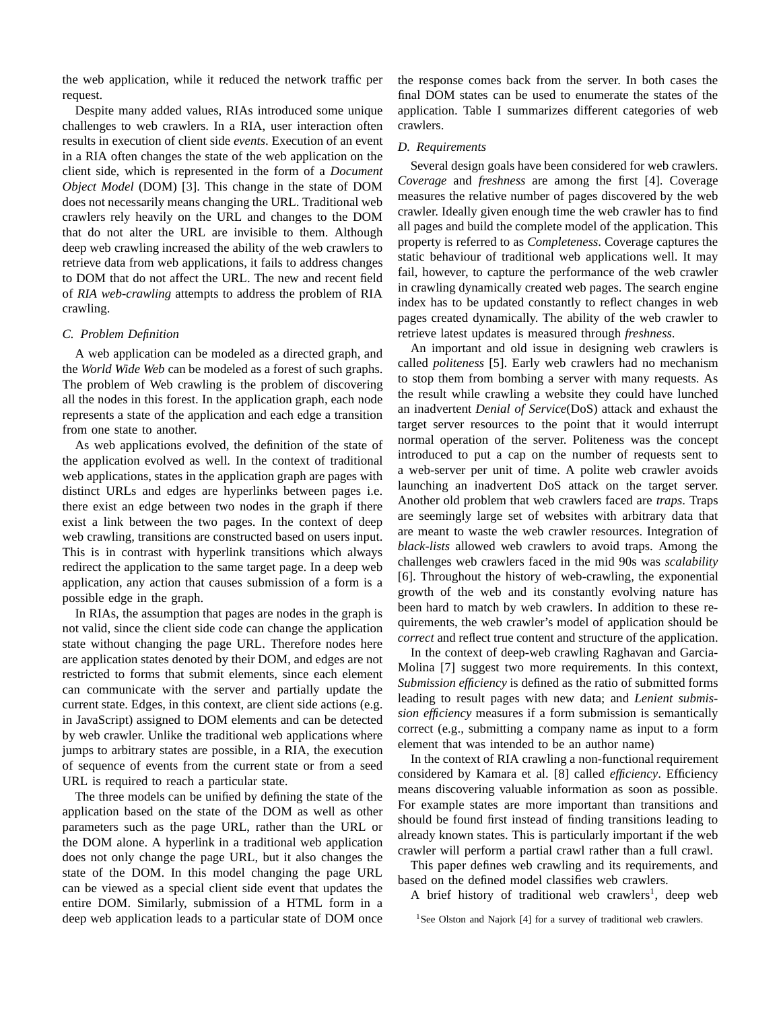the web application, while it reduced the network traffic per request.

Despite many added values, RIAs introduced some unique challenges to web crawlers. In a RIA, user interaction often results in execution of client side *events*. Execution of an event in a RIA often changes the state of the web application on the client side, which is represented in the form of a *Document Object Model* (DOM) [3]. This change in the state of DOM does not necessarily means changing the URL. Traditional web crawlers rely heavily on the URL and changes to the DOM that do not alter the URL are invisible to them. Although deep web crawling increased the ability of the web crawlers to retrieve data from web applications, it fails to address changes to DOM that do not affect the URL. The new and recent field of *RIA web-crawling* attempts to address the problem of RIA crawling.

## *C. Problem Definition*

A web application can be modeled as a directed graph, and the *World Wide Web* can be modeled as a forest of such graphs. The problem of Web crawling is the problem of discovering all the nodes in this forest. In the application graph, each node represents a state of the application and each edge a transition from one state to another.

As web applications evolved, the definition of the state of the application evolved as well. In the context of traditional web applications, states in the application graph are pages with distinct URLs and edges are hyperlinks between pages i.e. there exist an edge between two nodes in the graph if there exist a link between the two pages. In the context of deep web crawling, transitions are constructed based on users input. This is in contrast with hyperlink transitions which always redirect the application to the same target page. In a deep web application, any action that causes submission of a form is a possible edge in the graph.

In RIAs, the assumption that pages are nodes in the graph is not valid, since the client side code can change the application state without changing the page URL. Therefore nodes here are application states denoted by their DOM, and edges are not restricted to forms that submit elements, since each element can communicate with the server and partially update the current state. Edges, in this context, are client side actions (e.g. in JavaScript) assigned to DOM elements and can be detected by web crawler. Unlike the traditional web applications where jumps to arbitrary states are possible, in a RIA, the execution of sequence of events from the current state or from a seed URL is required to reach a particular state.

The three models can be unified by defining the state of the application based on the state of the DOM as well as other parameters such as the page URL, rather than the URL or the DOM alone. A hyperlink in a traditional web application does not only change the page URL, but it also changes the state of the DOM. In this model changing the page URL can be viewed as a special client side event that updates the entire DOM. Similarly, submission of a HTML form in a deep web application leads to a particular state of DOM once the response comes back from the server. In both cases the final DOM states can be used to enumerate the states of the application. Table I summarizes different categories of web crawlers.

#### *D. Requirements*

Several design goals have been considered for web crawlers. *Coverage* and *freshness* are among the first [4]. Coverage measures the relative number of pages discovered by the web crawler. Ideally given enough time the web crawler has to find all pages and build the complete model of the application. This property is referred to as *Completeness*. Coverage captures the static behaviour of traditional web applications well. It may fail, however, to capture the performance of the web crawler in crawling dynamically created web pages. The search engine index has to be updated constantly to reflect changes in web pages created dynamically. The ability of the web crawler to retrieve latest updates is measured through *freshness*.

An important and old issue in designing web crawlers is called *politeness* [5]. Early web crawlers had no mechanism to stop them from bombing a server with many requests. As the result while crawling a website they could have lunched an inadvertent *Denial of Service*(DoS) attack and exhaust the target server resources to the point that it would interrupt normal operation of the server. Politeness was the concept introduced to put a cap on the number of requests sent to a web-server per unit of time. A polite web crawler avoids launching an inadvertent DoS attack on the target server. Another old problem that web crawlers faced are *traps*. Traps are seemingly large set of websites with arbitrary data that are meant to waste the web crawler resources. Integration of *black-lists* allowed web crawlers to avoid traps. Among the challenges web crawlers faced in the mid 90s was *scalability* [6]. Throughout the history of web-crawling, the exponential growth of the web and its constantly evolving nature has been hard to match by web crawlers. In addition to these requirements, the web crawler's model of application should be *correct* and reflect true content and structure of the application.

In the context of deep-web crawling Raghavan and Garcia-Molina [7] suggest two more requirements. In this context, *Submission efficiency* is defined as the ratio of submitted forms leading to result pages with new data; and *Lenient submission efficiency* measures if a form submission is semantically correct (e.g., submitting a company name as input to a form element that was intended to be an author name)

In the context of RIA crawling a non-functional requirement considered by Kamara et al. [8] called *efficiency*. Efficiency means discovering valuable information as soon as possible. For example states are more important than transitions and should be found first instead of finding transitions leading to already known states. This is particularly important if the web crawler will perform a partial crawl rather than a full crawl.

This paper defines web crawling and its requirements, and based on the defined model classifies web crawlers.

A brief history of traditional web crawlers<sup>1</sup>, deep web

<sup>1</sup>See Olston and Najork [4] for a survey of traditional web crawlers.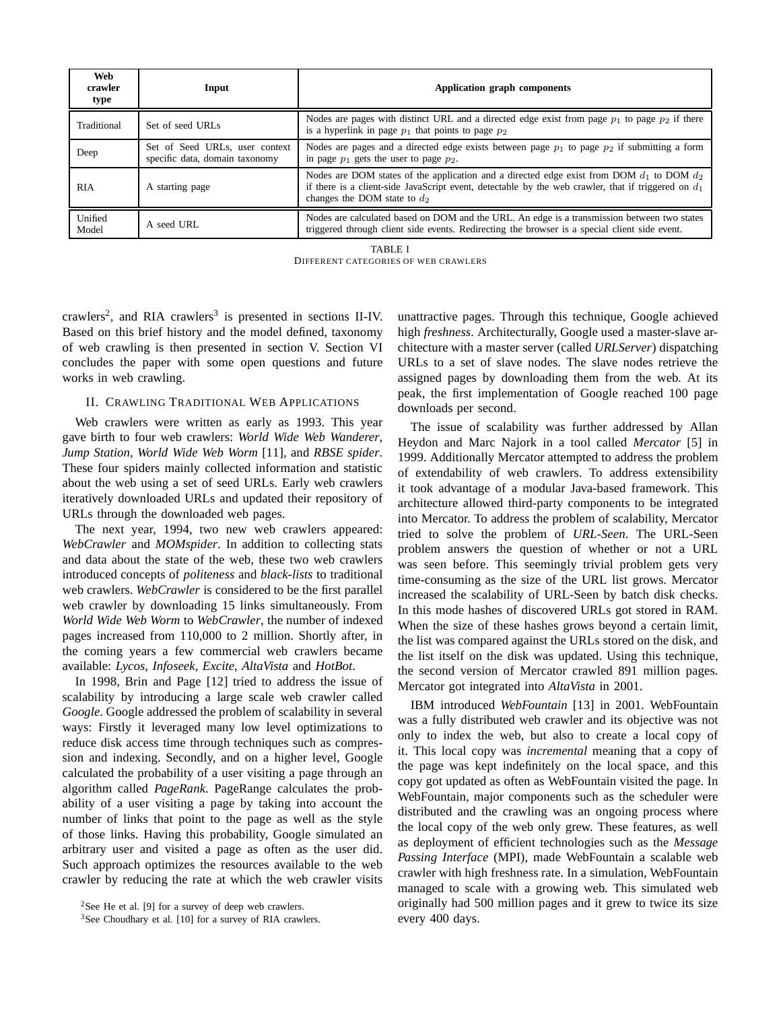| Web<br>crawler<br>type | Input                                                            | Application graph components                                                                                                                                                                                                             |
|------------------------|------------------------------------------------------------------|------------------------------------------------------------------------------------------------------------------------------------------------------------------------------------------------------------------------------------------|
| Traditional            | Set of seed URLs                                                 | Nodes are pages with distinct URL and a directed edge exist from page $p_1$ to page $p_2$ if there<br>is a hyperlink in page $p_1$ that points to page $p_2$                                                                             |
| Deep                   | Set of Seed URLs, user context<br>specific data, domain taxonomy | Nodes are pages and a directed edge exists between page $p_1$ to page $p_2$ if submitting a form<br>in page $p_1$ gets the user to page $p_2$ .                                                                                          |
| <b>RIA</b>             | A starting page                                                  | Nodes are DOM states of the application and a directed edge exist from DOM $d_1$ to DOM $d_2$<br>if there is a client-side JavaScript event, detectable by the web crawler, that if triggered on $d_1$<br>changes the DOM state to $d_2$ |
| Unified<br>Model       | A seed URL                                                       | Nodes are calculated based on DOM and the URL. An edge is a transmission between two states<br>triggered through client side events. Redirecting the browser is a special client side event.                                             |

TABLE I

DIFFERENT CATEGORIES OF WEB CRAWLERS

crawlers<sup>2</sup>, and RIA crawlers<sup>3</sup> is presented in sections II-IV. Based on this brief history and the model defined, taxonomy of web crawling is then presented in section V. Section VI concludes the paper with some open questions and future works in web crawling.

# II. CRAWLING TRADITIONAL WEB APPLICATIONS

Web crawlers were written as early as 1993. This year gave birth to four web crawlers: *World Wide Web Wanderer*, *Jump Station*, *World Wide Web Worm* [11], and *RBSE spider*. These four spiders mainly collected information and statistic about the web using a set of seed URLs. Early web crawlers iteratively downloaded URLs and updated their repository of URLs through the downloaded web pages.

The next year, 1994, two new web crawlers appeared: *WebCrawler* and *MOMspider*. In addition to collecting stats and data about the state of the web, these two web crawlers introduced concepts of *politeness* and *black-lists* to traditional web crawlers. *WebCrawler* is considered to be the first parallel web crawler by downloading 15 links simultaneously. From *World Wide Web Worm* to *WebCrawler*, the number of indexed pages increased from 110,000 to 2 million. Shortly after, in the coming years a few commercial web crawlers became available: *Lycos*, *Infoseek*, *Excite*, *AltaVista* and *HotBot*.

In 1998, Brin and Page [12] tried to address the issue of scalability by introducing a large scale web crawler called *Google*. Google addressed the problem of scalability in several ways: Firstly it leveraged many low level optimizations to reduce disk access time through techniques such as compression and indexing. Secondly, and on a higher level, Google calculated the probability of a user visiting a page through an algorithm called *PageRank*. PageRange calculates the probability of a user visiting a page by taking into account the number of links that point to the page as well as the style of those links. Having this probability, Google simulated an arbitrary user and visited a page as often as the user did. Such approach optimizes the resources available to the web crawler by reducing the rate at which the web crawler visits unattractive pages. Through this technique, Google achieved high *freshness*. Architecturally, Google used a master-slave architecture with a master server (called *URLServer*) dispatching URLs to a set of slave nodes. The slave nodes retrieve the assigned pages by downloading them from the web. At its peak, the first implementation of Google reached 100 page downloads per second.

The issue of scalability was further addressed by Allan Heydon and Marc Najork in a tool called *Mercator* [5] in 1999. Additionally Mercator attempted to address the problem of extendability of web crawlers. To address extensibility it took advantage of a modular Java-based framework. This architecture allowed third-party components to be integrated into Mercator. To address the problem of scalability, Mercator tried to solve the problem of *URL-Seen*. The URL-Seen problem answers the question of whether or not a URL was seen before. This seemingly trivial problem gets very time-consuming as the size of the URL list grows. Mercator increased the scalability of URL-Seen by batch disk checks. In this mode hashes of discovered URLs got stored in RAM. When the size of these hashes grows beyond a certain limit, the list was compared against the URLs stored on the disk, and the list itself on the disk was updated. Using this technique, the second version of Mercator crawled 891 million pages. Mercator got integrated into *AltaVista* in 2001.

IBM introduced *WebFountain* [13] in 2001. WebFountain was a fully distributed web crawler and its objective was not only to index the web, but also to create a local copy of it. This local copy was *incremental* meaning that a copy of the page was kept indefinitely on the local space, and this copy got updated as often as WebFountain visited the page. In WebFountain, major components such as the scheduler were distributed and the crawling was an ongoing process where the local copy of the web only grew. These features, as well as deployment of efficient technologies such as the *Message Passing Interface* (MPI), made WebFountain a scalable web crawler with high freshness rate. In a simulation, WebFountain managed to scale with a growing web. This simulated web originally had 500 million pages and it grew to twice its size every 400 days.

<sup>&</sup>lt;sup>2</sup>See He et al. [9] for a survey of deep web crawlers.

<sup>3</sup>See Choudhary et al. [10] for a survey of RIA crawlers.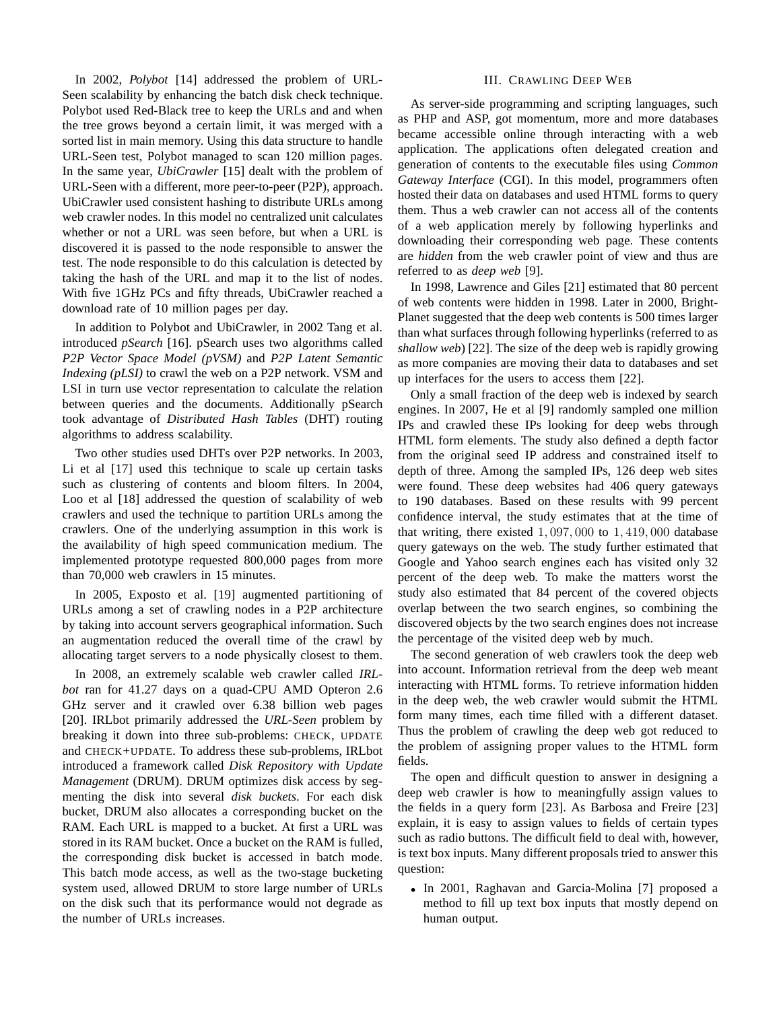In 2002, *Polybot* [14] addressed the problem of URL-Seen scalability by enhancing the batch disk check technique. Polybot used Red-Black tree to keep the URLs and and when the tree grows beyond a certain limit, it was merged with a sorted list in main memory. Using this data structure to handle URL-Seen test, Polybot managed to scan 120 million pages. In the same year, *UbiCrawler* [15] dealt with the problem of URL-Seen with a different, more peer-to-peer (P2P), approach. UbiCrawler used consistent hashing to distribute URLs among web crawler nodes. In this model no centralized unit calculates whether or not a URL was seen before, but when a URL is discovered it is passed to the node responsible to answer the test. The node responsible to do this calculation is detected by taking the hash of the URL and map it to the list of nodes. With five 1GHz PCs and fifty threads, UbiCrawler reached a download rate of 10 million pages per day.

In addition to Polybot and UbiCrawler, in 2002 Tang et al. introduced *pSearch* [16]. pSearch uses two algorithms called *P2P Vector Space Model (pVSM)* and *P2P Latent Semantic Indexing (pLSI)* to crawl the web on a P2P network. VSM and LSI in turn use vector representation to calculate the relation between queries and the documents. Additionally pSearch took advantage of *Distributed Hash Tables* (DHT) routing algorithms to address scalability.

Two other studies used DHTs over P2P networks. In 2003, Li et al [17] used this technique to scale up certain tasks such as clustering of contents and bloom filters. In 2004, Loo et al [18] addressed the question of scalability of web crawlers and used the technique to partition URLs among the crawlers. One of the underlying assumption in this work is the availability of high speed communication medium. The implemented prototype requested 800,000 pages from more than 70,000 web crawlers in 15 minutes.

In 2005, Exposto et al. [19] augmented partitioning of URLs among a set of crawling nodes in a P2P architecture by taking into account servers geographical information. Such an augmentation reduced the overall time of the crawl by allocating target servers to a node physically closest to them.

In 2008, an extremely scalable web crawler called *IRLbot* ran for 41.27 days on a quad-CPU AMD Opteron 2.6 GHz server and it crawled over 6.38 billion web pages [20]. IRLbot primarily addressed the *URL-Seen* problem by breaking it down into three sub-problems: CHECK, UPDATE and CHECK+UPDATE. To address these sub-problems, IRLbot introduced a framework called *Disk Repository with Update Management* (DRUM). DRUM optimizes disk access by segmenting the disk into several *disk buckets*. For each disk bucket, DRUM also allocates a corresponding bucket on the RAM. Each URL is mapped to a bucket. At first a URL was stored in its RAM bucket. Once a bucket on the RAM is fulled, the corresponding disk bucket is accessed in batch mode. This batch mode access, as well as the two-stage bucketing system used, allowed DRUM to store large number of URLs on the disk such that its performance would not degrade as the number of URLs increases.

#### III. CRAWLING DEEP WEB

As server-side programming and scripting languages, such as PHP and ASP, got momentum, more and more databases became accessible online through interacting with a web application. The applications often delegated creation and generation of contents to the executable files using *Common Gateway Interface* (CGI). In this model, programmers often hosted their data on databases and used HTML forms to query them. Thus a web crawler can not access all of the contents of a web application merely by following hyperlinks and downloading their corresponding web page. These contents are *hidden* from the web crawler point of view and thus are referred to as *deep web* [9].

In 1998, Lawrence and Giles [21] estimated that 80 percent of web contents were hidden in 1998. Later in 2000, Bright-Planet suggested that the deep web contents is 500 times larger than what surfaces through following hyperlinks (referred to as *shallow web*) [22]. The size of the deep web is rapidly growing as more companies are moving their data to databases and set up interfaces for the users to access them [22].

Only a small fraction of the deep web is indexed by search engines. In 2007, He et al [9] randomly sampled one million IPs and crawled these IPs looking for deep webs through HTML form elements. The study also defined a depth factor from the original seed IP address and constrained itself to depth of three. Among the sampled IPs, 126 deep web sites were found. These deep websites had 406 query gateways to 190 databases. Based on these results with 99 percent confidence interval, the study estimates that at the time of that writing, there existed  $1,097,000$  to  $1,419,000$  database query gateways on the web. The study further estimated that Google and Yahoo search engines each has visited only 32 percent of the deep web. To make the matters worst the study also estimated that 84 percent of the covered objects overlap between the two search engines, so combining the discovered objects by the two search engines does not increase the percentage of the visited deep web by much.

The second generation of web crawlers took the deep web into account. Information retrieval from the deep web meant interacting with HTML forms. To retrieve information hidden in the deep web, the web crawler would submit the HTML form many times, each time filled with a different dataset. Thus the problem of crawling the deep web got reduced to the problem of assigning proper values to the HTML form fields.

The open and difficult question to answer in designing a deep web crawler is how to meaningfully assign values to the fields in a query form [23]. As Barbosa and Freire [23] explain, it is easy to assign values to fields of certain types such as radio buttons. The difficult field to deal with, however, is text box inputs. Many different proposals tried to answer this question:

• In 2001, Raghavan and Garcia-Molina [7] proposed a method to fill up text box inputs that mostly depend on human output.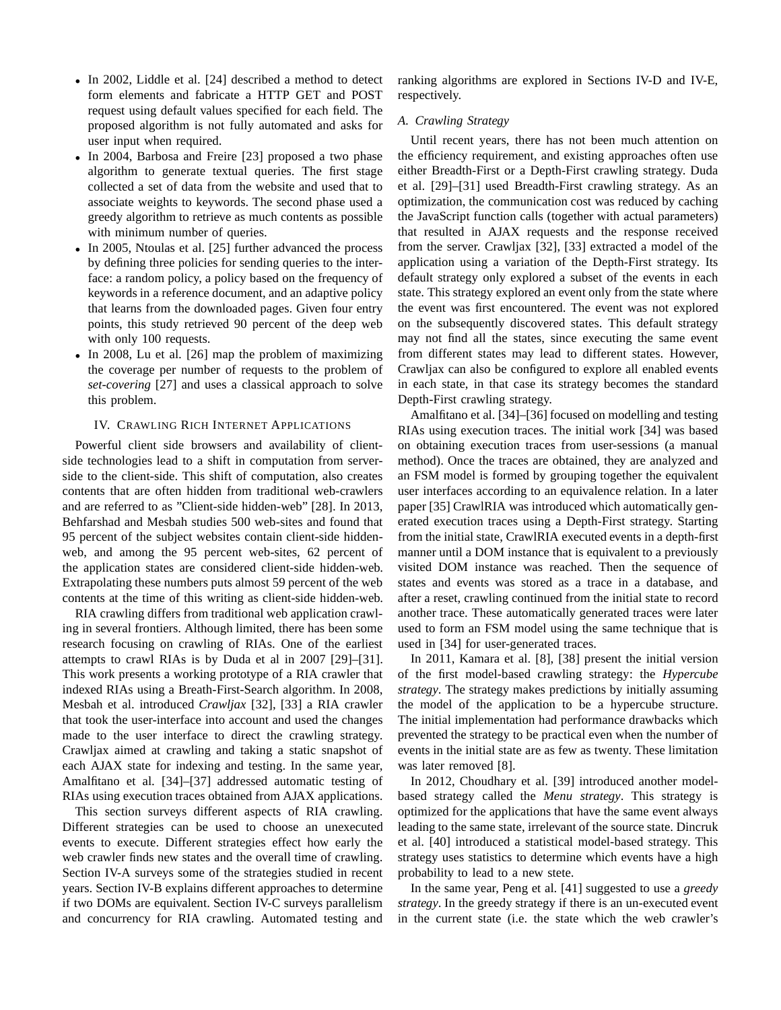- In 2002, Liddle et al. [24] described a method to detect form elements and fabricate a HTTP GET and POST request using default values specified for each field. The proposed algorithm is not fully automated and asks for user input when required.
- In 2004, Barbosa and Freire [23] proposed a two phase algorithm to generate textual queries. The first stage collected a set of data from the website and used that to associate weights to keywords. The second phase used a greedy algorithm to retrieve as much contents as possible with minimum number of queries.
- In 2005, Ntoulas et al. [25] further advanced the process by defining three policies for sending queries to the interface: a random policy, a policy based on the frequency of keywords in a reference document, and an adaptive policy that learns from the downloaded pages. Given four entry points, this study retrieved 90 percent of the deep web with only 100 requests.
- In 2008, Lu et al. [26] map the problem of maximizing the coverage per number of requests to the problem of *set-covering* [27] and uses a classical approach to solve this problem.

# IV. CRAWLING RICH INTERNET APPLICATIONS

Powerful client side browsers and availability of clientside technologies lead to a shift in computation from serverside to the client-side. This shift of computation, also creates contents that are often hidden from traditional web-crawlers and are referred to as "Client-side hidden-web" [28]. In 2013, Behfarshad and Mesbah studies 500 web-sites and found that 95 percent of the subject websites contain client-side hiddenweb, and among the 95 percent web-sites, 62 percent of the application states are considered client-side hidden-web. Extrapolating these numbers puts almost 59 percent of the web contents at the time of this writing as client-side hidden-web.

RIA crawling differs from traditional web application crawling in several frontiers. Although limited, there has been some research focusing on crawling of RIAs. One of the earliest attempts to crawl RIAs is by Duda et al in 2007 [29]–[31]. This work presents a working prototype of a RIA crawler that indexed RIAs using a Breath-First-Search algorithm. In 2008, Mesbah et al. introduced *Crawljax* [32], [33] a RIA crawler that took the user-interface into account and used the changes made to the user interface to direct the crawling strategy. Crawljax aimed at crawling and taking a static snapshot of each AJAX state for indexing and testing. In the same year, Amalfitano et al. [34]–[37] addressed automatic testing of RIAs using execution traces obtained from AJAX applications.

This section surveys different aspects of RIA crawling. Different strategies can be used to choose an unexecuted events to execute. Different strategies effect how early the web crawler finds new states and the overall time of crawling. Section IV-A surveys some of the strategies studied in recent years. Section IV-B explains different approaches to determine if two DOMs are equivalent. Section IV-C surveys parallelism and concurrency for RIA crawling. Automated testing and

ranking algorithms are explored in Sections IV-D and IV-E, respectively.

## *A. Crawling Strategy*

Until recent years, there has not been much attention on the efficiency requirement, and existing approaches often use either Breadth-First or a Depth-First crawling strategy. Duda et al. [29]–[31] used Breadth-First crawling strategy. As an optimization, the communication cost was reduced by caching the JavaScript function calls (together with actual parameters) that resulted in AJAX requests and the response received from the server. Crawljax [32], [33] extracted a model of the application using a variation of the Depth-First strategy. Its default strategy only explored a subset of the events in each state. This strategy explored an event only from the state where the event was first encountered. The event was not explored on the subsequently discovered states. This default strategy may not find all the states, since executing the same event from different states may lead to different states. However, Crawljax can also be configured to explore all enabled events in each state, in that case its strategy becomes the standard Depth-First crawling strategy.

Amalfitano et al. [34]–[36] focused on modelling and testing RIAs using execution traces. The initial work [34] was based on obtaining execution traces from user-sessions (a manual method). Once the traces are obtained, they are analyzed and an FSM model is formed by grouping together the equivalent user interfaces according to an equivalence relation. In a later paper [35] CrawlRIA was introduced which automatically generated execution traces using a Depth-First strategy. Starting from the initial state, CrawlRIA executed events in a depth-first manner until a DOM instance that is equivalent to a previously visited DOM instance was reached. Then the sequence of states and events was stored as a trace in a database, and after a reset, crawling continued from the initial state to record another trace. These automatically generated traces were later used to form an FSM model using the same technique that is used in [34] for user-generated traces.

In 2011, Kamara et al. [8], [38] present the initial version of the first model-based crawling strategy: the *Hypercube strategy*. The strategy makes predictions by initially assuming the model of the application to be a hypercube structure. The initial implementation had performance drawbacks which prevented the strategy to be practical even when the number of events in the initial state are as few as twenty. These limitation was later removed [8].

In 2012, Choudhary et al. [39] introduced another modelbased strategy called the *Menu strategy*. This strategy is optimized for the applications that have the same event always leading to the same state, irrelevant of the source state. Dincruk et al. [40] introduced a statistical model-based strategy. This strategy uses statistics to determine which events have a high probability to lead to a new stete.

In the same year, Peng et al. [41] suggested to use a *greedy strategy*. In the greedy strategy if there is an un-executed event in the current state (i.e. the state which the web crawler's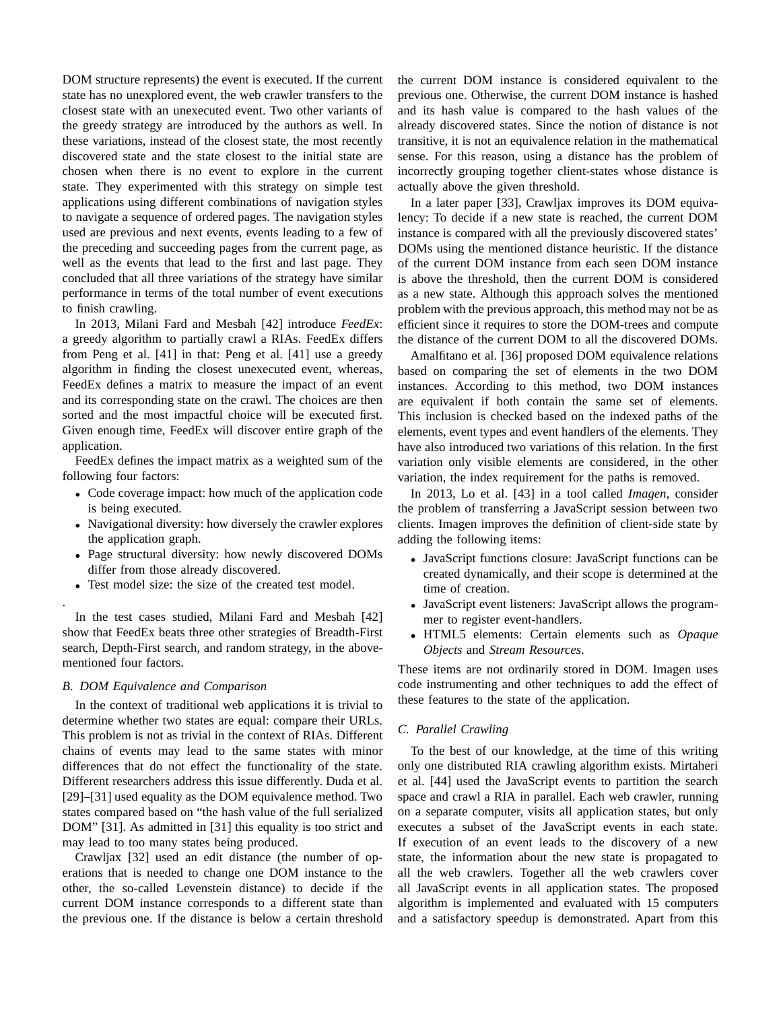DOM structure represents) the event is executed. If the current state has no unexplored event, the web crawler transfers to the closest state with an unexecuted event. Two other variants of the greedy strategy are introduced by the authors as well. In these variations, instead of the closest state, the most recently discovered state and the state closest to the initial state are chosen when there is no event to explore in the current state. They experimented with this strategy on simple test applications using different combinations of navigation styles to navigate a sequence of ordered pages. The navigation styles used are previous and next events, events leading to a few of the preceding and succeeding pages from the current page, as well as the events that lead to the first and last page. They concluded that all three variations of the strategy have similar performance in terms of the total number of event executions to finish crawling.

In 2013, Milani Fard and Mesbah [42] introduce *FeedEx*: a greedy algorithm to partially crawl a RIAs. FeedEx differs from Peng et al. [41] in that: Peng et al. [41] use a greedy algorithm in finding the closest unexecuted event, whereas, FeedEx defines a matrix to measure the impact of an event and its corresponding state on the crawl. The choices are then sorted and the most impactful choice will be executed first. Given enough time, FeedEx will discover entire graph of the application.

FeedEx defines the impact matrix as a weighted sum of the following four factors:

- Code coverage impact: how much of the application code is being executed.
- Navigational diversity: how diversely the crawler explores the application graph.
- Page structural diversity: how newly discovered DOMs differ from those already discovered.
- Test model size: the size of the created test model.

In the test cases studied, Milani Fard and Mesbah [42] show that FeedEx beats three other strategies of Breadth-First search, Depth-First search, and random strategy, in the abovementioned four factors.

# *B. DOM Equivalence and Comparison*

.

In the context of traditional web applications it is trivial to determine whether two states are equal: compare their URLs. This problem is not as trivial in the context of RIAs. Different chains of events may lead to the same states with minor differences that do not effect the functionality of the state. Different researchers address this issue differently. Duda et al. [29]–[31] used equality as the DOM equivalence method. Two states compared based on "the hash value of the full serialized DOM" [31]. As admitted in [31] this equality is too strict and may lead to too many states being produced.

Crawljax [32] used an edit distance (the number of operations that is needed to change one DOM instance to the other, the so-called Levenstein distance) to decide if the current DOM instance corresponds to a different state than the previous one. If the distance is below a certain threshold the current DOM instance is considered equivalent to the previous one. Otherwise, the current DOM instance is hashed and its hash value is compared to the hash values of the already discovered states. Since the notion of distance is not transitive, it is not an equivalence relation in the mathematical sense. For this reason, using a distance has the problem of incorrectly grouping together client-states whose distance is actually above the given threshold.

In a later paper [33], Crawljax improves its DOM equivalency: To decide if a new state is reached, the current DOM instance is compared with all the previously discovered states' DOMs using the mentioned distance heuristic. If the distance of the current DOM instance from each seen DOM instance is above the threshold, then the current DOM is considered as a new state. Although this approach solves the mentioned problem with the previous approach, this method may not be as efficient since it requires to store the DOM-trees and compute the distance of the current DOM to all the discovered DOMs.

Amalfitano et al. [36] proposed DOM equivalence relations based on comparing the set of elements in the two DOM instances. According to this method, two DOM instances are equivalent if both contain the same set of elements. This inclusion is checked based on the indexed paths of the elements, event types and event handlers of the elements. They have also introduced two variations of this relation. In the first variation only visible elements are considered, in the other variation, the index requirement for the paths is removed.

In 2013, Lo et al. [43] in a tool called *Imagen*, consider the problem of transferring a JavaScript session between two clients. Imagen improves the definition of client-side state by adding the following items:

- JavaScript functions closure: JavaScript functions can be created dynamically, and their scope is determined at the time of creation.
- JavaScript event listeners: JavaScript allows the programmer to register event-handlers.
- HTML5 elements: Certain elements such as *Opaque Objects* and *Stream Resources*.

These items are not ordinarily stored in DOM. Imagen uses code instrumenting and other techniques to add the effect of these features to the state of the application.

## *C. Parallel Crawling*

To the best of our knowledge, at the time of this writing only one distributed RIA crawling algorithm exists. Mirtaheri et al. [44] used the JavaScript events to partition the search space and crawl a RIA in parallel. Each web crawler, running on a separate computer, visits all application states, but only executes a subset of the JavaScript events in each state. If execution of an event leads to the discovery of a new state, the information about the new state is propagated to all the web crawlers. Together all the web crawlers cover all JavaScript events in all application states. The proposed algorithm is implemented and evaluated with 15 computers and a satisfactory speedup is demonstrated. Apart from this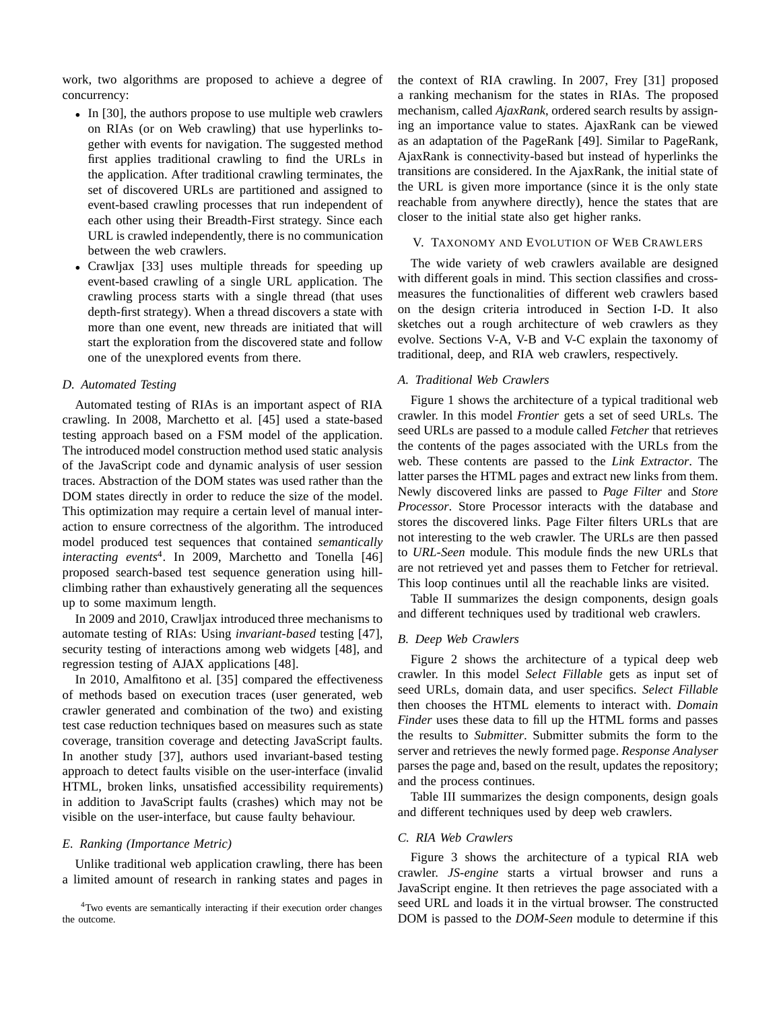work, two algorithms are proposed to achieve a degree of concurrency:

- In [30], the authors propose to use multiple web crawlers on RIAs (or on Web crawling) that use hyperlinks together with events for navigation. The suggested method first applies traditional crawling to find the URLs in the application. After traditional crawling terminates, the set of discovered URLs are partitioned and assigned to event-based crawling processes that run independent of each other using their Breadth-First strategy. Since each URL is crawled independently, there is no communication between the web crawlers.
- Crawljax [33] uses multiple threads for speeding up event-based crawling of a single URL application. The crawling process starts with a single thread (that uses depth-first strategy). When a thread discovers a state with more than one event, new threads are initiated that will start the exploration from the discovered state and follow one of the unexplored events from there.

# *D. Automated Testing*

Automated testing of RIAs is an important aspect of RIA crawling. In 2008, Marchetto et al. [45] used a state-based testing approach based on a FSM model of the application. The introduced model construction method used static analysis of the JavaScript code and dynamic analysis of user session traces. Abstraction of the DOM states was used rather than the DOM states directly in order to reduce the size of the model. This optimization may require a certain level of manual interaction to ensure correctness of the algorithm. The introduced model produced test sequences that contained *semantically interacting events*<sup>4</sup> . In 2009, Marchetto and Tonella [46] proposed search-based test sequence generation using hillclimbing rather than exhaustively generating all the sequences up to some maximum length.

In 2009 and 2010, Crawljax introduced three mechanisms to automate testing of RIAs: Using *invariant-based* testing [47], security testing of interactions among web widgets [48], and regression testing of AJAX applications [48].

In 2010, Amalfitono et al. [35] compared the effectiveness of methods based on execution traces (user generated, web crawler generated and combination of the two) and existing test case reduction techniques based on measures such as state coverage, transition coverage and detecting JavaScript faults. In another study [37], authors used invariant-based testing approach to detect faults visible on the user-interface (invalid HTML, broken links, unsatisfied accessibility requirements) in addition to JavaScript faults (crashes) which may not be visible on the user-interface, but cause faulty behaviour.

#### *E. Ranking (Importance Metric)*

Unlike traditional web application crawling, there has been a limited amount of research in ranking states and pages in

<sup>4</sup>Two events are semantically interacting if their execution order changes the outcome.

the context of RIA crawling. In 2007, Frey [31] proposed a ranking mechanism for the states in RIAs. The proposed mechanism, called *AjaxRank*, ordered search results by assigning an importance value to states. AjaxRank can be viewed as an adaptation of the PageRank [49]. Similar to PageRank, AjaxRank is connectivity-based but instead of hyperlinks the transitions are considered. In the AjaxRank, the initial state of the URL is given more importance (since it is the only state reachable from anywhere directly), hence the states that are closer to the initial state also get higher ranks.

## V. TAXONOMY AND EVOLUTION OF WEB CRAWLERS

The wide variety of web crawlers available are designed with different goals in mind. This section classifies and crossmeasures the functionalities of different web crawlers based on the design criteria introduced in Section I-D. It also sketches out a rough architecture of web crawlers as they evolve. Sections V-A, V-B and V-C explain the taxonomy of traditional, deep, and RIA web crawlers, respectively.

## *A. Traditional Web Crawlers*

Figure 1 shows the architecture of a typical traditional web crawler. In this model *Frontier* gets a set of seed URLs. The seed URLs are passed to a module called *Fetcher* that retrieves the contents of the pages associated with the URLs from the web. These contents are passed to the *Link Extractor*. The latter parses the HTML pages and extract new links from them. Newly discovered links are passed to *Page Filter* and *Store Processor*. Store Processor interacts with the database and stores the discovered links. Page Filter filters URLs that are not interesting to the web crawler. The URLs are then passed to *URL-Seen* module. This module finds the new URLs that are not retrieved yet and passes them to Fetcher for retrieval. This loop continues until all the reachable links are visited.

Table II summarizes the design components, design goals and different techniques used by traditional web crawlers.

## *B. Deep Web Crawlers*

Figure 2 shows the architecture of a typical deep web crawler. In this model *Select Fillable* gets as input set of seed URLs, domain data, and user specifics. *Select Fillable* then chooses the HTML elements to interact with. *Domain Finder* uses these data to fill up the HTML forms and passes the results to *Submitter*. Submitter submits the form to the server and retrieves the newly formed page. *Response Analyser* parses the page and, based on the result, updates the repository; and the process continues.

Table III summarizes the design components, design goals and different techniques used by deep web crawlers.

#### *C. RIA Web Crawlers*

Figure 3 shows the architecture of a typical RIA web crawler. *JS-engine* starts a virtual browser and runs a JavaScript engine. It then retrieves the page associated with a seed URL and loads it in the virtual browser. The constructed DOM is passed to the *DOM-Seen* module to determine if this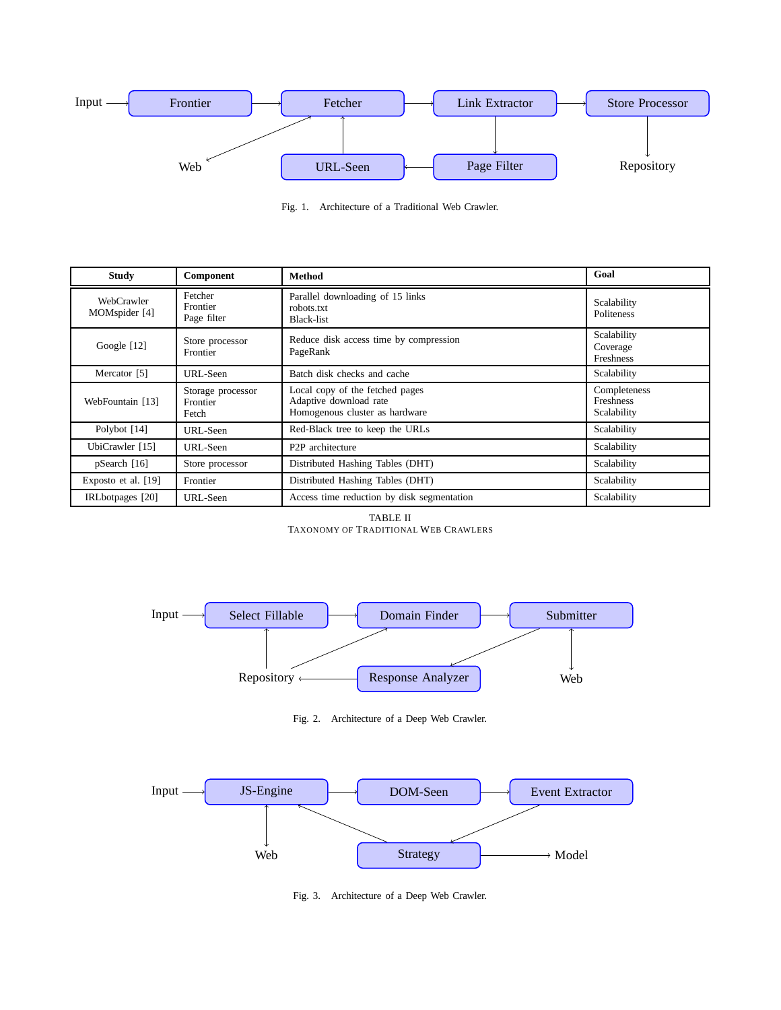

Fig. 1. Architecture of a Traditional Web Crawler.

| <b>Study</b>                | Component                              | Method                                                                                      | Goal                                            |
|-----------------------------|----------------------------------------|---------------------------------------------------------------------------------------------|-------------------------------------------------|
| WebCrawler<br>MOMspider [4] | Fetcher<br>Frontier<br>Page filter     | Parallel downloading of 15 links<br>robots.txt<br>Black-list                                | Scalability<br>Politeness                       |
| Google [12]                 | Store processor<br>Frontier            | Reduce disk access time by compression<br>PageRank                                          | Scalability<br>Coverage<br>Freshness            |
| Mercator [5]                | URL-Seen                               | Batch disk checks and cache                                                                 | Scalability                                     |
| WebFountain [13]            | Storage processor<br>Frontier<br>Fetch | Local copy of the fetched pages<br>Adaptive download rate<br>Homogenous cluster as hardware | Completeness<br><b>Freshness</b><br>Scalability |
| Polybot [14]                | URL-Seen                               | Red-Black tree to keep the URLs                                                             | Scalability                                     |
| UbiCrawler [15]             | URL-Seen                               | P <sub>2</sub> P architecture                                                               | Scalability                                     |
| pSearch [16]                | Store processor                        | Distributed Hashing Tables (DHT)                                                            | Scalability                                     |
| Exposto et al. [19]         | Frontier                               | Distributed Hashing Tables (DHT)                                                            | Scalability                                     |
| IRLbotpages [20]            | URL-Seen                               | Access time reduction by disk segmentation                                                  | Scalability                                     |

TABLE II TAXONOMY OF TRADITIONAL WEB CRAWLERS



Fig. 2. Architecture of a Deep Web Crawler.



Fig. 3. Architecture of a Deep Web Crawler.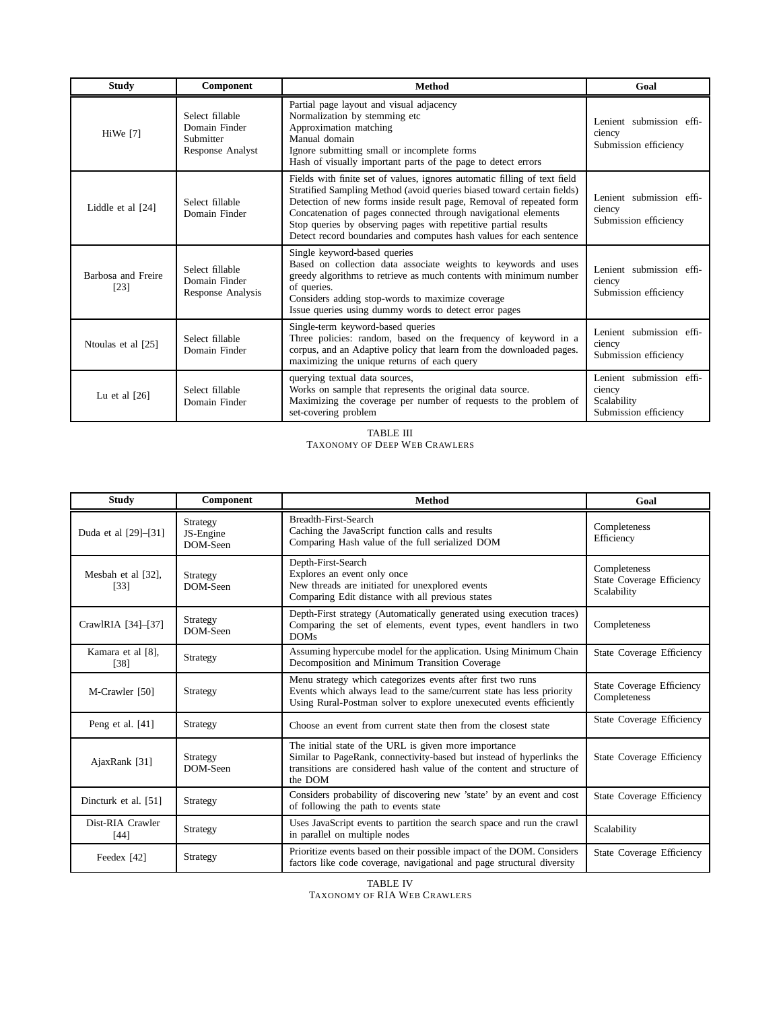| <b>Study</b>                 | Component                                                         | <b>Method</b>                                                                                                                                                                                                                                                                                                                                                                                                                           | Goal                                                                       |
|------------------------------|-------------------------------------------------------------------|-----------------------------------------------------------------------------------------------------------------------------------------------------------------------------------------------------------------------------------------------------------------------------------------------------------------------------------------------------------------------------------------------------------------------------------------|----------------------------------------------------------------------------|
| HiWe [7]                     | Select fillable<br>Domain Finder<br>Submitter<br>Response Analyst | Partial page layout and visual adjacency<br>Normalization by stemming etc<br>Approximation matching<br>Manual domain<br>Ignore submitting small or incomplete forms<br>Hash of visually important parts of the page to detect errors                                                                                                                                                                                                    | Lenient submission effi-<br>ciency<br>Submission efficiency                |
| Liddle et al [24]            | Select fillable<br>Domain Finder                                  | Fields with finite set of values, ignores automatic filling of text field<br>Stratified Sampling Method (avoid queries biased toward certain fields)<br>Detection of new forms inside result page, Removal of repeated form<br>Concatenation of pages connected through navigational elements<br>Stop queries by observing pages with repetitive partial results<br>Detect record boundaries and computes hash values for each sentence | Lenient submission effi-<br>ciency<br>Submission efficiency                |
| Barbosa and Freire<br>$[23]$ | Select fillable<br>Domain Finder<br>Response Analysis             | Single keyword-based queries<br>Based on collection data associate weights to keywords and uses<br>greedy algorithms to retrieve as much contents with minimum number<br>of queries.<br>Considers adding stop-words to maximize coverage<br>Issue queries using dummy words to detect error pages                                                                                                                                       | Lenient submission effi-<br>ciency<br>Submission efficiency                |
| Ntoulas et al [25]           | Select fillable<br>Domain Finder                                  | Single-term keyword-based queries<br>Three policies: random, based on the frequency of keyword in a<br>corpus, and an Adaptive policy that learn from the downloaded pages.<br>maximizing the unique returns of each query                                                                                                                                                                                                              | Lenient submission effi-<br>ciency<br>Submission efficiency                |
| Lu et al $[26]$              | Select fillable<br>Domain Finder                                  | querying textual data sources,<br>Works on sample that represents the original data source.<br>Maximizing the coverage per number of requests to the problem of<br>set-covering problem                                                                                                                                                                                                                                                 | Lenient submission effi-<br>ciency<br>Scalability<br>Submission efficiency |

TABLE III TAXONOMY OF DEEP WEB CRAWLERS

| <b>Study</b>               | Component                         | <b>Method</b>                                                                                                                                                                                                      | Goal                                                            |
|----------------------------|-----------------------------------|--------------------------------------------------------------------------------------------------------------------------------------------------------------------------------------------------------------------|-----------------------------------------------------------------|
| Duda et al [29]-[31]       | Strategy<br>JS-Engine<br>DOM-Seen | Breadth-First-Search<br>Caching the JavaScript function calls and results<br>Comparing Hash value of the full serialized DOM                                                                                       | Completeness<br>Efficiency                                      |
| Mesbah et al [32],<br>[33] | Strategy<br>DOM-Seen              | Depth-First-Search<br>Explores an event only once<br>New threads are initiated for unexplored events<br>Comparing Edit distance with all previous states                                                           | Completeness<br><b>State Coverage Efficiency</b><br>Scalability |
| CrawlRIA [34]-[37]         | Strategy<br>DOM-Seen              | Depth-First strategy (Automatically generated using execution traces)<br>Comparing the set of elements, event types, event handlers in two<br><b>DOMs</b>                                                          | Completeness                                                    |
| Kamara et al [8],<br>[38]  | Strategy                          | Assuming hypercube model for the application. Using Minimum Chain<br>Decomposition and Minimum Transition Coverage                                                                                                 | State Coverage Efficiency                                       |
| M-Crawler [50]             | Strategy                          | Menu strategy which categorizes events after first two runs<br>Events which always lead to the same/current state has less priority<br>Using Rural-Postman solver to explore unexecuted events efficiently         | <b>State Coverage Efficiency</b><br>Completeness                |
| Peng et al. [41]           | Strategy                          | Choose an event from current state then from the closest state                                                                                                                                                     | State Coverage Efficiency                                       |
| AjaxRank [31]              | Strategy<br>DOM-Seen              | The initial state of the URL is given more importance<br>Similar to PageRank, connectivity-based but instead of hyperlinks the<br>transitions are considered hash value of the content and structure of<br>the DOM | State Coverage Efficiency                                       |
| Dincturk et al. [51]       | Strategy                          | Considers probability of discovering new 'state' by an event and cost<br>of following the path to events state                                                                                                     | <b>State Coverage Efficiency</b>                                |
| Dist-RIA Crawler<br>$[44]$ | Strategy                          | Uses JavaScript events to partition the search space and run the crawl<br>in parallel on multiple nodes                                                                                                            | Scalability                                                     |
| Feedex [42]                | Strategy                          | Prioritize events based on their possible impact of the DOM. Considers<br>factors like code coverage, navigational and page structural diversity                                                                   | State Coverage Efficiency                                       |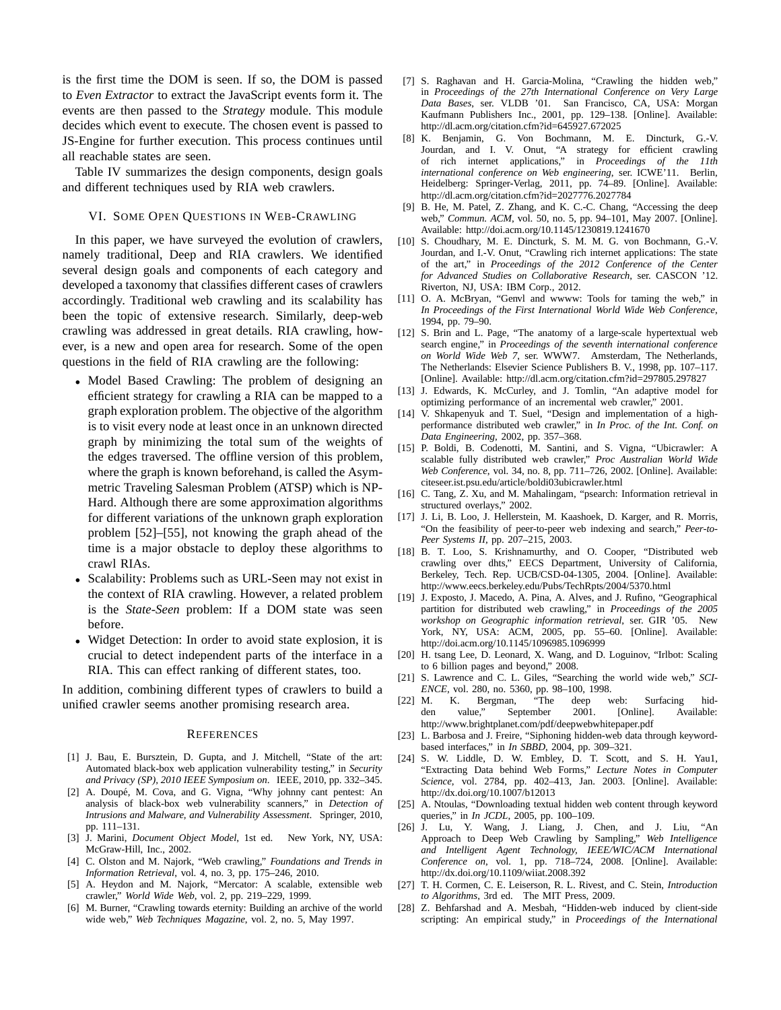is the first time the DOM is seen. If so, the DOM is passed to *Even Extractor* to extract the JavaScript events form it. The events are then passed to the *Strategy* module. This module decides which event to execute. The chosen event is passed to JS-Engine for further execution. This process continues until all reachable states are seen.

Table IV summarizes the design components, design goals and different techniques used by RIA web crawlers.

# VI. SOME OPEN QUESTIONS IN WEB-CRAWLING

In this paper, we have surveyed the evolution of crawlers, namely traditional, Deep and RIA crawlers. We identified several design goals and components of each category and developed a taxonomy that classifies different cases of crawlers accordingly. Traditional web crawling and its scalability has been the topic of extensive research. Similarly, deep-web crawling was addressed in great details. RIA crawling, however, is a new and open area for research. Some of the open questions in the field of RIA crawling are the following:

- Model Based Crawling: The problem of designing an efficient strategy for crawling a RIA can be mapped to a graph exploration problem. The objective of the algorithm is to visit every node at least once in an unknown directed graph by minimizing the total sum of the weights of the edges traversed. The offline version of this problem, where the graph is known beforehand, is called the Asymmetric Traveling Salesman Problem (ATSP) which is NP-Hard. Although there are some approximation algorithms for different variations of the unknown graph exploration problem [52]–[55], not knowing the graph ahead of the time is a major obstacle to deploy these algorithms to crawl RIAs.
- Scalability: Problems such as URL-Seen may not exist in the context of RIA crawling. However, a related problem is the *State-Seen* problem: If a DOM state was seen before.
- Widget Detection: In order to avoid state explosion, it is crucial to detect independent parts of the interface in a RIA. This can effect ranking of different states, too.

In addition, combining different types of crawlers to build a unified crawler seems another promising research area.

#### **REFERENCES**

- [1] J. Bau, E. Bursztein, D. Gupta, and J. Mitchell, "State of the art: Automated black-box web application vulnerability testing," in *Security and Privacy (SP), 2010 IEEE Symposium on*. IEEE, 2010, pp. 332–345.
- [2] A. Doupé, M. Cova, and G. Vigna, "Why johnny cant pentest: An analysis of black-box web vulnerability scanners," in *Detection of Intrusions and Malware, and Vulnerability Assessment*. Springer, 2010, pp. 111–131.
- [3] J. Marini, *Document Object Model*, 1st ed. New York, NY, USA: McGraw-Hill, Inc., 2002.
- [4] C. Olston and M. Najork, "Web crawling," *Foundations and Trends in Information Retrieval*, vol. 4, no. 3, pp. 175–246, 2010.
- [5] A. Heydon and M. Najork, "Mercator: A scalable, extensible web crawler," *World Wide Web*, vol. 2, pp. 219–229, 1999.
- [6] M. Burner, "Crawling towards eternity: Building an archive of the world wide web," *Web Techniques Magazine*, vol. 2, no. 5, May 1997.
- [7] S. Raghavan and H. Garcia-Molina, "Crawling the hidden web," in *Proceedings of the 27th International Conference on Very Large Data Bases*, ser. VLDB '01. San Francisco, CA, USA: Morgan Kaufmann Publishers Inc., 2001, pp. 129–138. [Online]. Available: http://dl.acm.org/citation.cfm?id=645927.672025
- [8] K. Benjamin, G. Von Bochmann, M. E. Dincturk, G.-V. Jourdan, and I. V. Onut, "A strategy for efficient crawling of rich internet applications," in *Proceedings of the 11th international conference on Web engineering*, ser. ICWE'11. Berlin, Heidelberg: Springer-Verlag, 2011, pp. 74–89. [Online]. Available: http://dl.acm.org/citation.cfm?id=2027776.2027784
- [9] B. He, M. Patel, Z. Zhang, and K. C.-C. Chang, "Accessing the deep web," *Commun. ACM*, vol. 50, no. 5, pp. 94–101, May 2007. [Online]. Available: http://doi.acm.org/10.1145/1230819.1241670
- [10] S. Choudhary, M. E. Dincturk, S. M. M. G. von Bochmann, G.-V. Jourdan, and I.-V. Onut, "Crawling rich internet applications: The state of the art," in *Proceedings of the 2012 Conference of the Center for Advanced Studies on Collaborative Research*, ser. CASCON '12. Riverton, NJ, USA: IBM Corp., 2012.
- [11] O. A. McBryan, "Genvl and wwww: Tools for taming the web," in *In Proceedings of the First International World Wide Web Conference*, 1994, pp. 79–90.
- [12] S. Brin and L. Page, "The anatomy of a large-scale hypertextual web search engine," in *Proceedings of the seventh international conference on World Wide Web 7*, ser. WWW7. Amsterdam, The Netherlands, The Netherlands: Elsevier Science Publishers B. V., 1998, pp. 107–117. [Online]. Available: http://dl.acm.org/citation.cfm?id=297805.297827
- [13] J. Edwards, K. McCurley, and J. Tomlin, "An adaptive model for optimizing performance of an incremental web crawler," 2001.
- [14] V. Shkapenyuk and T. Suel, "Design and implementation of a highperformance distributed web crawler," in *In Proc. of the Int. Conf. on Data Engineering*, 2002, pp. 357–368.
- [15] P. Boldi, B. Codenotti, M. Santini, and S. Vigna, "Ubicrawler: A scalable fully distributed web crawler," *Proc Australian World Wide Web Conference*, vol. 34, no. 8, pp. 711–726, 2002. [Online]. Available: citeseer.ist.psu.edu/article/boldi03ubicrawler.html
- [16] C. Tang, Z. Xu, and M. Mahalingam, "psearch: Information retrieval in structured overlays," 2002.
- [17] J. Li, B. Loo, J. Hellerstein, M. Kaashoek, D. Karger, and R. Morris, "On the feasibility of peer-to-peer web indexing and search," *Peer-to-Peer Systems II*, pp. 207–215, 2003.
- [18] B. T. Loo, S. Krishnamurthy, and O. Cooper, "Distributed web crawling over dhts," EECS Department, University of California, Berkeley, Tech. Rep. UCB/CSD-04-1305, 2004. [Online]. Available: http://www.eecs.berkeley.edu/Pubs/TechRpts/2004/5370.html
- [19] J. Exposto, J. Macedo, A. Pina, A. Alves, and J. Rufino, "Geographical partition for distributed web crawling," in *Proceedings of the 2005 workshop on Geographic information retrieval*, ser. GIR '05. New York, NY, USA: ACM, 2005, pp. 55–60. [Online]. Available: http://doi.acm.org/10.1145/1096985.1096999
- [20] H. tsang Lee, D. Leonard, X. Wang, and D. Loguinov, "Irlbot: Scaling to 6 billion pages and beyond," 2008.
- [21] S. Lawrence and C. L. Giles, "Searching the world wide web," *SCI-ENCE*, vol. 280, no. 5360, pp. 98–100, 1998.<br>[22] M. K. Bergman, "The deep v
- K. Bergman, "The deep web: Surfacing hidden value," September 2001. [Online]. Available: http://www.brightplanet.com/pdf/deepwebwhitepaper.pdf
- [23] L. Barbosa and J. Freire, "Siphoning hidden-web data through keywordbased interfaces," in *In SBBD*, 2004, pp. 309–321.
- [24] S. W. Liddle, D. W. Embley, D. T. Scott, and S. H. Yau1, "Extracting Data behind Web Forms," *Lecture Notes in Computer Science*, vol. 2784, pp. 402–413, Jan. 2003. [Online]. Available: http://dx.doi.org/10.1007/b12013
- [25] A. Ntoulas, "Downloading textual hidden web content through keyword queries," in *In JCDL*, 2005, pp. 100–109.
- [26] J. Lu, Y. Wang, J. Liang, J. Chen, and J. Liu, "An Approach to Deep Web Crawling by Sampling," *Web Intelligence and Intelligent Agent Technology, IEEE/WIC/ACM International Conference on*, vol. 1, pp. 718–724, 2008. [Online]. Available: http://dx.doi.org/10.1109/wiiat.2008.392
- [27] T. H. Cormen, C. E. Leiserson, R. L. Rivest, and C. Stein, *Introduction to Algorithms*, 3rd ed. The MIT Press, 2009.
- [28] Z. Behfarshad and A. Mesbah, "Hidden-web induced by client-side scripting: An empirical study," in *Proceedings of the International*